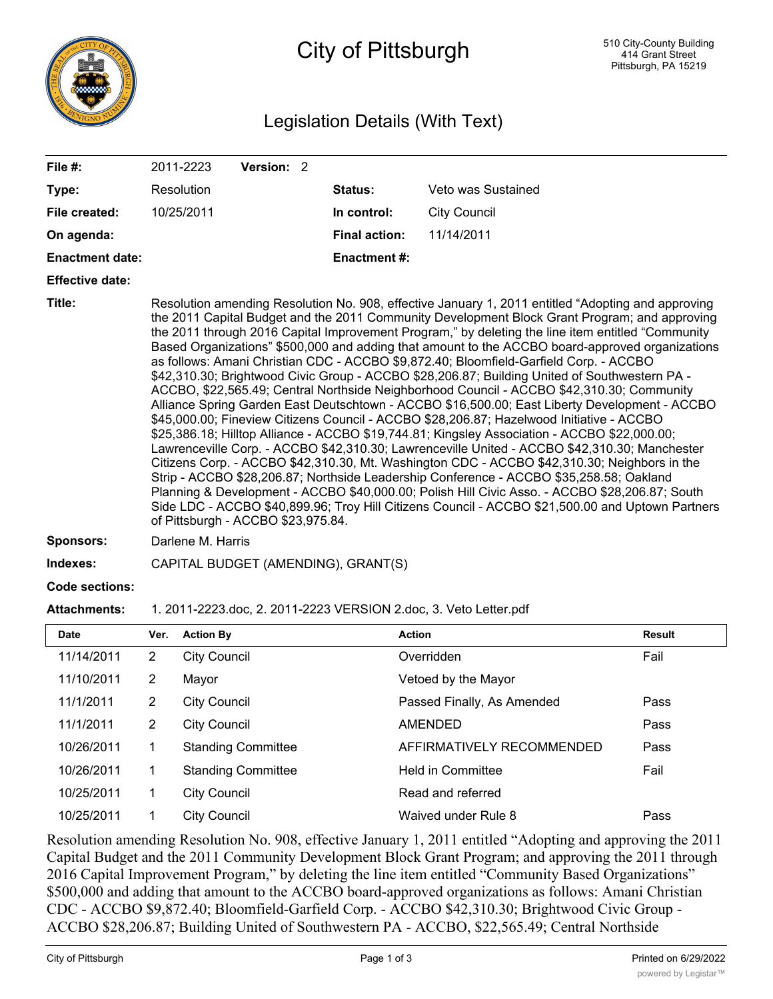

# City of Pittsburgh

## Legislation Details (With Text)

| File #:                |                | 2011-2223           | Version: 2                         |                                     |                                                                                                                                                                                                                                                                                                                                                                                                                                                                                                                                                                                                                                                                                                                                                                                                                                                                                                                                                                                                                                                                                                                                                                                                                                                                                                                                                                                                                                                                                                   |        |
|------------------------|----------------|---------------------|------------------------------------|-------------------------------------|---------------------------------------------------------------------------------------------------------------------------------------------------------------------------------------------------------------------------------------------------------------------------------------------------------------------------------------------------------------------------------------------------------------------------------------------------------------------------------------------------------------------------------------------------------------------------------------------------------------------------------------------------------------------------------------------------------------------------------------------------------------------------------------------------------------------------------------------------------------------------------------------------------------------------------------------------------------------------------------------------------------------------------------------------------------------------------------------------------------------------------------------------------------------------------------------------------------------------------------------------------------------------------------------------------------------------------------------------------------------------------------------------------------------------------------------------------------------------------------------------|--------|
| Type:                  |                | Resolution          |                                    | <b>Status:</b>                      | Veto was Sustained                                                                                                                                                                                                                                                                                                                                                                                                                                                                                                                                                                                                                                                                                                                                                                                                                                                                                                                                                                                                                                                                                                                                                                                                                                                                                                                                                                                                                                                                                |        |
| File created:          |                | 10/25/2011          |                                    | In control:                         | <b>City Council</b>                                                                                                                                                                                                                                                                                                                                                                                                                                                                                                                                                                                                                                                                                                                                                                                                                                                                                                                                                                                                                                                                                                                                                                                                                                                                                                                                                                                                                                                                               |        |
| On agenda:             |                |                     |                                    | <b>Final action:</b>                | 11/14/2011                                                                                                                                                                                                                                                                                                                                                                                                                                                                                                                                                                                                                                                                                                                                                                                                                                                                                                                                                                                                                                                                                                                                                                                                                                                                                                                                                                                                                                                                                        |        |
| <b>Enactment date:</b> |                |                     |                                    | <b>Enactment #:</b>                 |                                                                                                                                                                                                                                                                                                                                                                                                                                                                                                                                                                                                                                                                                                                                                                                                                                                                                                                                                                                                                                                                                                                                                                                                                                                                                                                                                                                                                                                                                                   |        |
| <b>Effective date:</b> |                |                     |                                    |                                     |                                                                                                                                                                                                                                                                                                                                                                                                                                                                                                                                                                                                                                                                                                                                                                                                                                                                                                                                                                                                                                                                                                                                                                                                                                                                                                                                                                                                                                                                                                   |        |
| Title:                 |                |                     | of Pittsburgh - ACCBO \$23,975.84. |                                     | Resolution amending Resolution No. 908, effective January 1, 2011 entitled "Adopting and approving<br>the 2011 Capital Budget and the 2011 Community Development Block Grant Program; and approving<br>the 2011 through 2016 Capital Improvement Program," by deleting the line item entitled "Community<br>Based Organizations" \$500,000 and adding that amount to the ACCBO board-approved organizations<br>as follows: Amani Christian CDC - ACCBO \$9,872.40; Bloomfield-Garfield Corp. - ACCBO<br>\$42,310.30; Brightwood Civic Group - ACCBO \$28,206.87; Building United of Southwestern PA -<br>ACCBO, \$22,565.49; Central Northside Neighborhood Council - ACCBO \$42,310.30; Community<br>Alliance Spring Garden East Deutschtown - ACCBO \$16,500.00; East Liberty Development - ACCBO<br>\$45,000.00; Fineview Citizens Council - ACCBO \$28,206.87; Hazelwood Initiative - ACCBO<br>\$25,386.18; Hilltop Alliance - ACCBO \$19,744.81; Kingsley Association - ACCBO \$22,000.00;<br>Lawrenceville Corp. - ACCBO \$42,310.30; Lawrenceville United - ACCBO \$42,310.30; Manchester<br>Citizens Corp. - ACCBO \$42,310.30, Mt. Washington CDC - ACCBO \$42,310.30; Neighbors in the<br>Strip - ACCBO \$28,206.87; Northside Leadership Conference - ACCBO \$35,258.58; Oakland<br>Planning & Development - ACCBO \$40,000.00; Polish Hill Civic Asso. - ACCBO \$28,206.87; South<br>Side LDC - ACCBO \$40,899.96; Troy Hill Citizens Council - ACCBO \$21,500.00 and Uptown Partners |        |
| Sponsors:              |                | Darlene M. Harris   |                                    |                                     |                                                                                                                                                                                                                                                                                                                                                                                                                                                                                                                                                                                                                                                                                                                                                                                                                                                                                                                                                                                                                                                                                                                                                                                                                                                                                                                                                                                                                                                                                                   |        |
| Indexes:               |                |                     |                                    | CAPITAL BUDGET (AMENDING), GRANT(S) |                                                                                                                                                                                                                                                                                                                                                                                                                                                                                                                                                                                                                                                                                                                                                                                                                                                                                                                                                                                                                                                                                                                                                                                                                                                                                                                                                                                                                                                                                                   |        |
| <b>Code sections:</b>  |                |                     |                                    |                                     |                                                                                                                                                                                                                                                                                                                                                                                                                                                                                                                                                                                                                                                                                                                                                                                                                                                                                                                                                                                                                                                                                                                                                                                                                                                                                                                                                                                                                                                                                                   |        |
| <b>Attachments:</b>    |                |                     |                                    |                                     | 1. 2011-2223.doc, 2. 2011-2223 VERSION 2.doc, 3. Veto Letter.pdf                                                                                                                                                                                                                                                                                                                                                                                                                                                                                                                                                                                                                                                                                                                                                                                                                                                                                                                                                                                                                                                                                                                                                                                                                                                                                                                                                                                                                                  |        |
| <b>Date</b>            | Ver.           | <b>Action By</b>    |                                    |                                     | <b>Action</b>                                                                                                                                                                                                                                                                                                                                                                                                                                                                                                                                                                                                                                                                                                                                                                                                                                                                                                                                                                                                                                                                                                                                                                                                                                                                                                                                                                                                                                                                                     | Result |
| 11/14/2011             | $\overline{2}$ | <b>City Council</b> |                                    |                                     | Overridden                                                                                                                                                                                                                                                                                                                                                                                                                                                                                                                                                                                                                                                                                                                                                                                                                                                                                                                                                                                                                                                                                                                                                                                                                                                                                                                                                                                                                                                                                        | Fail   |
| 11/10/2011             | $\overline{2}$ | Mayor               |                                    |                                     | Vetoed by the Mayor                                                                                                                                                                                                                                                                                                                                                                                                                                                                                                                                                                                                                                                                                                                                                                                                                                                                                                                                                                                                                                                                                                                                                                                                                                                                                                                                                                                                                                                                               |        |
| 11/1/2011              | $\overline{2}$ | <b>City Council</b> |                                    |                                     | Passed Finally, As Amended                                                                                                                                                                                                                                                                                                                                                                                                                                                                                                                                                                                                                                                                                                                                                                                                                                                                                                                                                                                                                                                                                                                                                                                                                                                                                                                                                                                                                                                                        | Pass   |
| 11/1/2011              | $\overline{2}$ | <b>City Council</b> |                                    |                                     | <b>AMENDED</b>                                                                                                                                                                                                                                                                                                                                                                                                                                                                                                                                                                                                                                                                                                                                                                                                                                                                                                                                                                                                                                                                                                                                                                                                                                                                                                                                                                                                                                                                                    | Pass   |
| 10/26/2011             | 1              |                     | <b>Standing Committee</b>          |                                     | AFFIRMATIVELY RECOMMENDED                                                                                                                                                                                                                                                                                                                                                                                                                                                                                                                                                                                                                                                                                                                                                                                                                                                                                                                                                                                                                                                                                                                                                                                                                                                                                                                                                                                                                                                                         | Pass   |
| 10/26/2011             | 1              |                     | <b>Standing Committee</b>          |                                     | Held in Committee                                                                                                                                                                                                                                                                                                                                                                                                                                                                                                                                                                                                                                                                                                                                                                                                                                                                                                                                                                                                                                                                                                                                                                                                                                                                                                                                                                                                                                                                                 | Fail   |
| 10/25/2011             | 1              | <b>City Council</b> |                                    |                                     | Read and referred                                                                                                                                                                                                                                                                                                                                                                                                                                                                                                                                                                                                                                                                                                                                                                                                                                                                                                                                                                                                                                                                                                                                                                                                                                                                                                                                                                                                                                                                                 |        |

Resolution amending Resolution No. 908, effective January 1, 2011 entitled "Adopting and approving the 2011 Capital Budget and the 2011 Community Development Block Grant Program; and approving the 2011 through 2016 Capital Improvement Program," by deleting the line item entitled "Community Based Organizations" \$500,000 and adding that amount to the ACCBO board-approved organizations as follows: Amani Christian CDC - ACCBO \$9,872.40; Bloomfield-Garfield Corp. - ACCBO \$42,310.30; Brightwood Civic Group - ACCBO \$28,206.87; Building United of Southwestern PA - ACCBO, \$22,565.49; Central Northside

10/25/2011 1 City Council Waived under Rule 8 Pass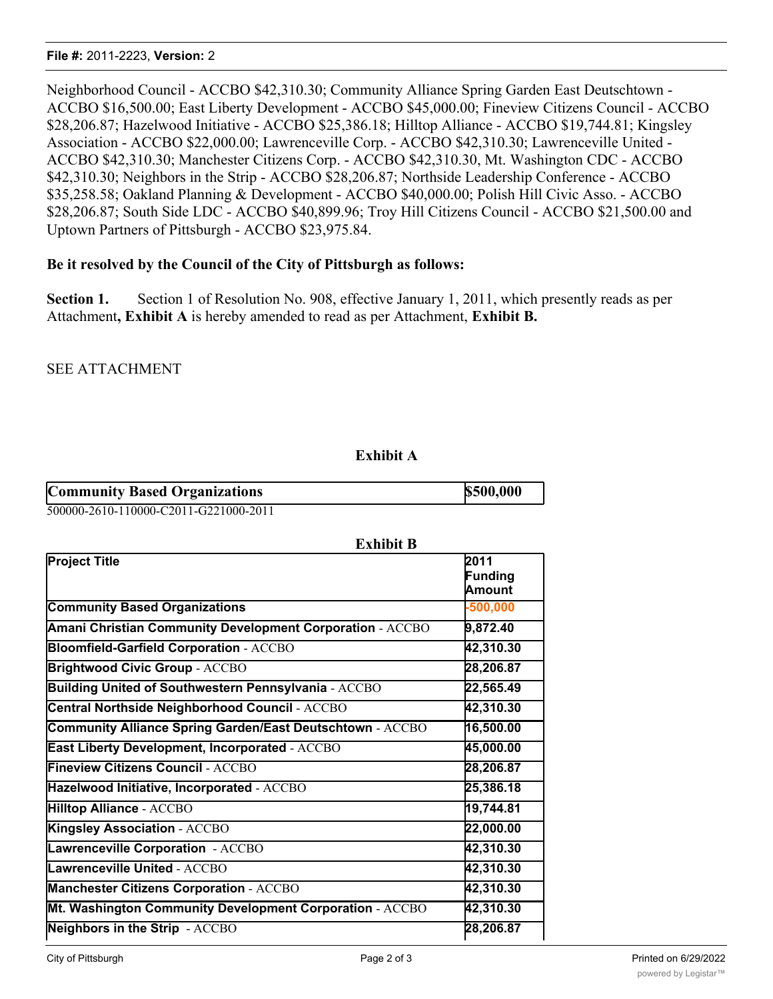Neighborhood Council - ACCBO \$42,310.30; Community Alliance Spring Garden East Deutschtown - ACCBO \$16,500.00; East Liberty Development - ACCBO \$45,000.00; Fineview Citizens Council - ACCBO \$28,206.87; Hazelwood Initiative - ACCBO \$25,386.18; Hilltop Alliance - ACCBO \$19,744.81; Kingsley Association - ACCBO \$22,000.00; Lawrenceville Corp. - ACCBO \$42,310.30; Lawrenceville United - ACCBO \$42,310.30; Manchester Citizens Corp. - ACCBO \$42,310.30, Mt. Washington CDC - ACCBO \$42,310.30; Neighbors in the Strip - ACCBO \$28,206.87; Northside Leadership Conference - ACCBO \$35,258.58; Oakland Planning & Development - ACCBO \$40,000.00; Polish Hill Civic Asso. - ACCBO \$28,206.87; South Side LDC - ACCBO \$40,899.96; Troy Hill Citizens Council - ACCBO \$21,500.00 and Uptown Partners of Pittsburgh - ACCBO \$23,975.84.

#### **Be it resolved by the Council of the City of Pittsburgh as follows:**

**Section 1.** Section 1 of Resolution No. 908, effective January 1, 2011, which presently reads as per Attachment**, Exhibit A** is hereby amended to read as per Attachment, **Exhibit B.**

SEE ATTACHMENT

#### **Exhibit A**

| <b>Community Based Organizations</b>  | \$500,000 |
|---------------------------------------|-----------|
| 500000-2610-110000-C2011-G221000-2011 |           |

500000-2610-110000-C2011-G221000-2011

| <b>Exhibit B</b>                                          |                           |
|-----------------------------------------------------------|---------------------------|
| <b>Project Title</b>                                      | 2011<br>Funding<br>Amount |
| <b>Community Based Organizations</b>                      | $-500,000$                |
| Amani Christian Community Development Corporation - ACCBO | 9,872.40                  |
| <b>Bloomfield-Garfield Corporation - ACCBO</b>            | 42,310.30                 |
| <b>Brightwood Civic Group - ACCBO</b>                     | 28,206.87                 |
| Building United of Southwestern Pennsylvania - ACCBO      | 22,565.49                 |
| Central Northside Neighborhood Council - ACCBO            | 42,310.30                 |
| Community Alliance Spring Garden/East Deutschtown - ACCBO | 16,500.00                 |
| East Liberty Development, Incorporated - ACCBO            | 45,000.00                 |
| <b>Fineview Citizens Council - ACCBO</b>                  | 28,206.87                 |
| Hazelwood Initiative, Incorporated - ACCBO                | 25,386.18                 |
| <b>Hilltop Alliance - ACCBO</b>                           | 19,744.81                 |
| <b>Kingsley Association - ACCBO</b>                       | 22,000.00                 |
| Lawrenceville Corporation - ACCBO                         | 42,310.30                 |
| <b>Lawrenceville United - ACCBO</b>                       | 42,310.30                 |
| <b>Manchester Citizens Corporation - ACCBO</b>            | 42,310.30                 |
| Mt. Washington Community Development Corporation - ACCBO  | 42,310.30                 |
| Neighbors in the Strip - ACCBO                            | 28,206.87                 |